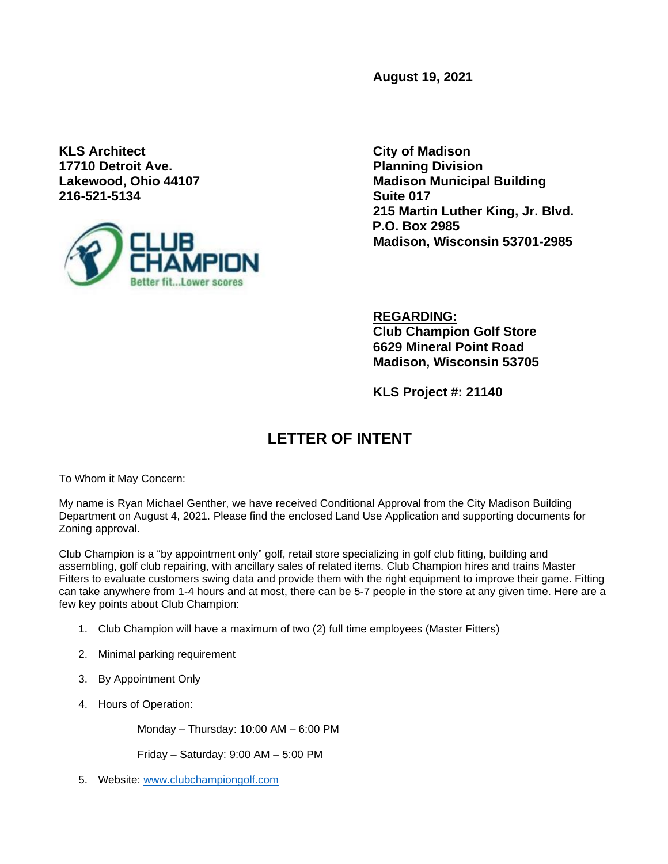**August 19, 2021**

**KLS Architect City of Madison 17710 Detroit Ave. Planning Division 216-521-5134 Suite 017**



**Lakewood, Ohio 44107 Madison Municipal Building 215 Martin Luther King, Jr. Blvd. P.O. Box 2985 Madison, Wisconsin 53701-2985**

> **REGARDING: Club Champion Golf Store 6629 Mineral Point Road Madison, Wisconsin 53705**

**KLS Project #: 21140**

## **LETTER OF INTENT**

To Whom it May Concern:

My name is Ryan Michael Genther, we have received Conditional Approval from the City Madison Building Department on August 4, 2021. Please find the enclosed Land Use Application and supporting documents for Zoning approval.

Club Champion is a "by appointment only" golf, retail store specializing in golf club fitting, building and assembling, golf club repairing, with ancillary sales of related items. Club Champion hires and trains Master Fitters to evaluate customers swing data and provide them with the right equipment to improve their game. Fitting can take anywhere from 1-4 hours and at most, there can be 5-7 people in the store at any given time. Here are a few key points about Club Champion:

- 1. Club Champion will have a maximum of two (2) full time employees (Master Fitters)
- 2. Minimal parking requirement
- 3. By Appointment Only
- 4. Hours of Operation:

Monday – Thursday: 10:00 AM – 6:00 PM

Friday – Saturday: 9:00 AM – 5:00 PM

5. Website: [www.clubchampiongolf.com](http://www.clubchampiongolf.com/)